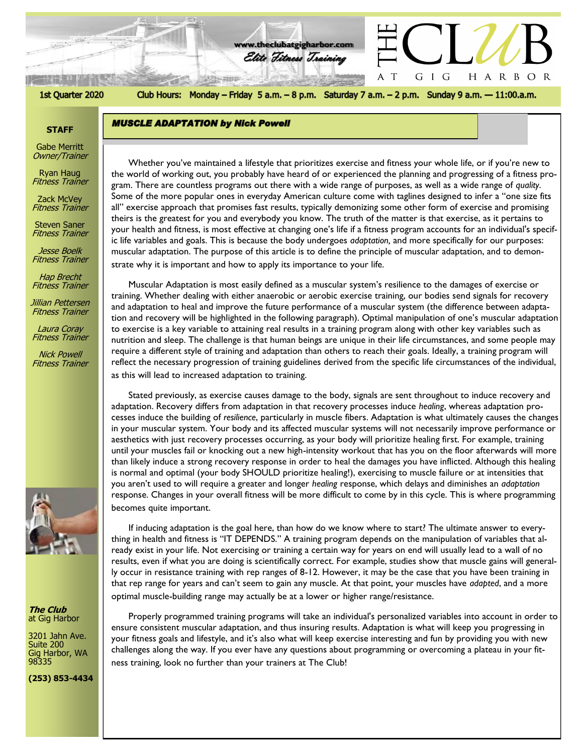# 1st Quarter 2020

Club Hours: Monday - Friday 5 a.m. - 8 p.m. Saturday 7 a.m. - 2 p.m. Sunday 9 a.m. - 11:00.a.m.

A T HARBOR

GIG

**www.theclubatgigharbor.com**

Elite Fitness Training

## **STAFF**

Gabe Merritt Owner/Trainer

Ryan Haug Fitness Trainer

Zack McVey Fitness Trainer

Steven Saner Fitness Trainer

Jesse Boelk Fitness Trainer

Hap Brecht Fitness Trainer

Jillian Pettersen Fitness Trainer

Laura Coray Fitness Trainer

Nick Powell Fitness Trainer



**The Club** at Gig Harbor

3201 Jahn Ave. Suite 200 Gig Harbor, WA 98335

**(253) 853-4434**

*The Club at Gig Harbor* gram. There are countless programs out there with a wide range of purposes, as well as a wide range of *quality*. Whether you've maintained a lifestyle that prioritizes exercise and fitness your whole life, or if you're new to the world of working out, you probably have heard of or experienced the planning and progressing of a fitness pro-Some of the more popular ones in everyday American culture come with taglines designed to infer a "one size fits all" exercise approach that promises fast results, typically demonizing some other form of exercise and promising theirs is the greatest for you and everybody you know. The truth of the matter is that exercise, as it pertains to your health and fitness, is most effective at changing one's life if a fitness program accounts for an individual's specific life variables and goals. This is because the body undergoes *adaptation,* and more specifically for our purposes: muscular adaptation. The purpose of this article is to define the principle of muscular adaptation, and to demonstrate why it is important and how to apply its importance to your life.

Muscular Adaptation is most easily defined as a muscular system's resilience to the damages of exercise or training. Whether dealing with either anaerobic or aerobic exercise training, our bodies send signals for recovery and adaptation to heal and improve the future performance of a muscular system (the difference between adaptation and recovery will be highlighted in the following paragraph). Optimal manipulation of one's muscular adaptation to exercise is a key variable to attaining real results in a training program along with other key variables such as nutrition and sleep. The challenge is that human beings are unique in their life circumstances, and some people may require a different style of training and adaptation than others to reach their goals. Ideally, a training program will reflect the necessary progression of training guidelines derived from the specific life circumstances of the individual,

as this will lead to increased adaptation to training.

**MUSCLE ADAPTATION by Nick Powell** 

Stated previously, as exercise causes damage to the body, signals are sent throughout to induce recovery and adaptation. Recovery differs from adaptation in that recovery processes induce *healing*, whereas adaptation processes induce the building of *resilience*, particularly in muscle fibers. Adaptation is what ultimately causes the changes in your muscular system. Your body and its affected muscular systems will not necessarily improve performance or aesthetics with just recovery processes occurring, as your body will prioritize healing first. For example, training until your muscles fail or knocking out a new high-intensity workout that has you on the floor afterwards will more than likely induce a strong recovery response in order to heal the damages you have inflicted. Although this healing is normal and optimal (your body SHOULD prioritize healing!), exercising to muscle failure or at intensities that you aren't used to will require a greater and longer *healing* response, which delays and diminishes an *adaptation* response. Changes in your overall fitness will be more difficult to come by in this cycle. This is where programming becomes quite important.

If inducing adaptation is the goal here, than how do we know where to start? The ultimate answer to everything in health and fitness is "IT DEPENDS." A training program depends on the manipulation of variables that already exist in your life. Not exercising or training a certain way for years on end will usually lead to a wall of no results, even if what you are doing is scientifically correct. For example, studies show that muscle gains will generally occur in resistance training with rep ranges of 8-12. However, it may be the case that you have been training in that rep range for years and can't seem to gain any muscle. At that point, your muscles have *adapted*, and a more optimal muscle-building range may actually be at a lower or higher range/resistance.

Properly programmed training programs will take an individual's personalized variables into account in order to ensure consistent muscular adaptation, and thus insuring results. Adaptation is what will keep you progressing in your fitness goals and lifestyle, and it's also what will keep exercise interesting and fun by providing you with new challenges along the way. If you ever have any questions about programming or overcoming a plateau in your fitness training, look no further than your trainers at The Club!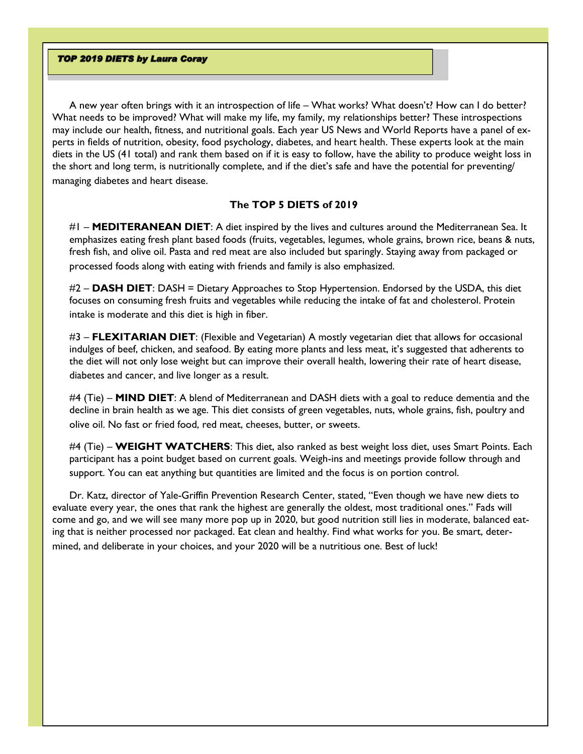## **TOP 2019 DIETS by Laura Coray**

A new year often brings with it an introspection of life – What works? What doesn't? How can I do better? What needs to be improved? What will make my life, my family, my relationships better? These introspections may include our health, fitness, and nutritional goals. Each year US News and World Reports have a panel of experts in fields of nutrition, obesity, food psychology, diabetes, and heart health. These experts look at the main diets in the US (41 total) and rank them based on if it is easy to follow, have the ability to produce weight loss in the short and long term, is nutritionally complete, and if the diet's safe and have the potential for preventing/ managing diabetes and heart disease.

# **The TOP 5 DIETS of 2019**

#1 – **MEDITERANEAN DIET**: A diet inspired by the lives and cultures around the Mediterranean Sea. It emphasizes eating fresh plant based foods (fruits, vegetables, legumes, whole grains, brown rice, beans & nuts, fresh fish, and olive oil. Pasta and red meat are also included but sparingly. Staying away from packaged or processed foods along with eating with friends and family is also emphasized.

#2 – **DASH DIET**: DASH = Dietary Approaches to Stop Hypertension. Endorsed by the USDA, this diet focuses on consuming fresh fruits and vegetables while reducing the intake of fat and cholesterol. Protein intake is moderate and this diet is high in fiber.

#3 – **FLEXITARIAN DIET**: (Flexible and Vegetarian) A mostly vegetarian diet that allows for occasional indulges of beef, chicken, and seafood. By eating more plants and less meat, it's suggested that adherents to the diet will not only lose weight but can improve their overall health, lowering their rate of [heart disease,](https://health.usnews.com/health-news/health-wellness/slideshows/the-facts-on-heart-disease)  diabetes and cancer, and live longer as a result.

#4 (Tie) – **MIND DIET**: A blend of Mediterranean and DASH diets with a goal to reduce dementia and the decline in brain health as we age. This diet consists of green vegetables, nuts, whole grains, fish, poultry and olive oil. No fast or fried food, red meat, cheeses, butter, or sweets.

#4 (Tie) – **WEIGHT WATCHERS**: This diet, also ranked as best weight loss diet, uses Smart Points. Each participant has a point budget based on current goals. Weigh-ins and meetings provide follow through and support. You can eat anything but quantities are limited and the focus is on portion control.

Dr. Katz, director of Yale-Griffin Prevention Research Center, stated, "Even though we have new diets to evaluate every year, the ones that rank the highest are generally the oldest, most traditional ones." Fads will come and go, and we will see many more pop up in 2020, but good nutrition still lies in moderate, balanced eating that is neither processed nor packaged. Eat clean and healthy. Find what works for you. Be smart, determined, and deliberate in your choices, and your 2020 will be a nutritious one. Best of luck!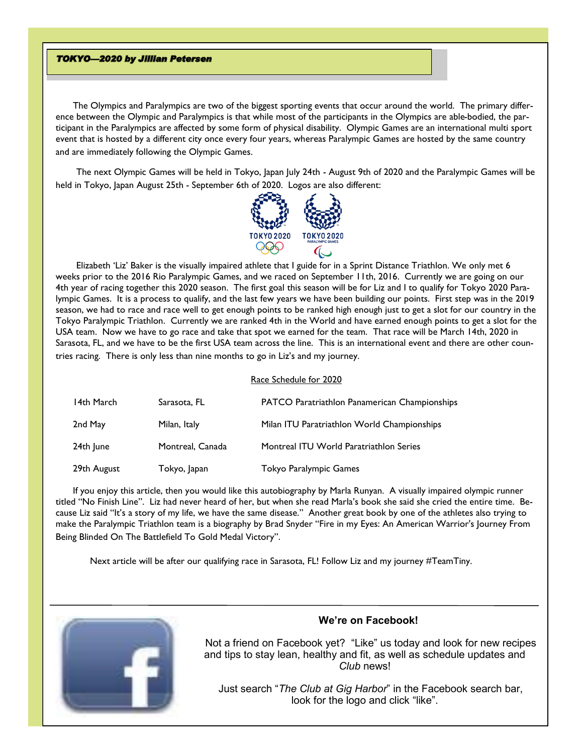#### **TOKYO-2020 by Jillian Petersen**

The Olympics and Paralympics are two of the biggest sporting events that occur around the world. The primary difference between the Olympic and Paralympics is that while most of the participants in the Olympics are able-bodied, the participant in the Paralympics are affected by some form of physical disability. Olympic Games are an international multi sport event that is hosted by a different city once every four years, whereas Paralympic Games are hosted by the same country and are immediately following the Olympic Games.

The next Olympic Games will be held in Tokyo, Japan July 24th - August 9th of 2020 and the Paralympic Games will be held in Tokyo, Japan August 25th - September 6th of 2020. Logos are also different:



Elizabeth 'Liz' Baker is the visually impaired athlete that I guide for in a Sprint Distance Triathlon. We only met 6 weeks prior to the 2016 Rio Paralympic Games, and we raced on September 11th, 2016. Currently we are going on our 4th year of racing together this 2020 season. The first goal this season will be for Liz and I to qualify for Tokyo 2020 Paralympic Games. It is a process to qualify, and the last few years we have been building our points. First step was in the 2019 season, we had to race and race well to get enough points to be ranked high enough just to get a slot for our country in the Tokyo Paralympic Triathlon. Currently we are ranked 4th in the World and have earned enough points to get a slot for the USA team. Now we have to go race and take that spot we earned for the team. That race will be March 14th, 2020 in Sarasota, FL, and we have to be the first USA team across the line. This is an international event and there are other countries racing. There is only less than nine months to go in Liz's and my journey.

#### Race Schedule for 2020

| 14th March  | Sarasota, FL     | <b>PATCO Paratriathlon Panamerican Championships</b> |
|-------------|------------------|------------------------------------------------------|
| 2nd May     | Milan, Italy     | Milan ITU Paratriathlon World Championships          |
| 24th June   | Montreal, Canada | Montreal ITU World Paratriathlon Series              |
| 29th August | Tokyo, Japan     | Tokyo Paralympic Games                               |

If you enjoy this article, then you would like this autobiography by Marla Runyan. A visually impaired olympic runner titled "No Finish Line". Liz had never heard of her, but when she read Marla's book she said she cried the entire time. Because Liz said "It's a story of my life, we have the same disease." Another great book by one of the athletes also trying to make the Paralympic Triathlon team is a biography by Brad Snyder "Fire in my Eyes: An American Warrior's Journey From Being Blinded On The Battlefield To Gold Medal Victory".

Next article will be after our qualifying race in Sarasota, FL! Follow Liz and my journey #TeamTiny.



# **We're on Facebook!**

 Not a friend on Facebook yet? "Like" us today and look for new recipes and tips to stay lean, healthy and fit, as well as schedule updates and *Club* news!

 Just search "*The Club at Gig Harbor*" in the Facebook search bar, look for the logo and click "like".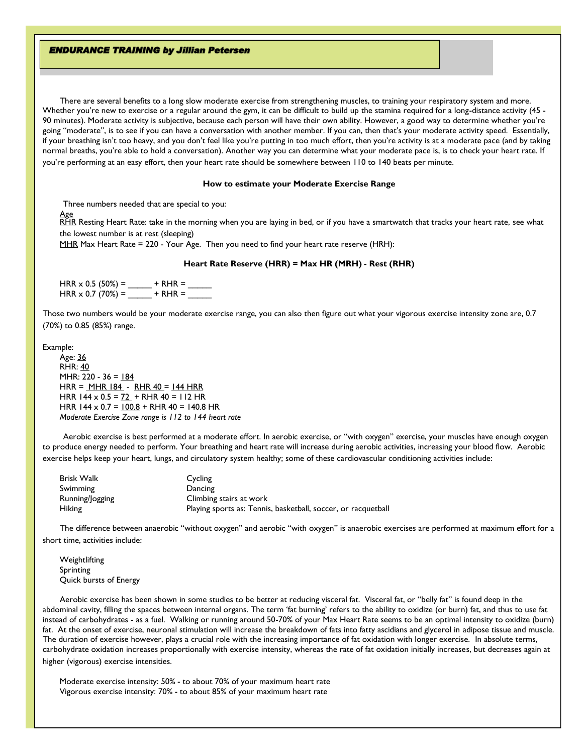## **ENDURANCE TRAINING by Jillian Petersen**

There are several benefits to a long slow moderate exercise from strengthening muscles, to training your respiratory system and more. Whether you're new to exercise or a regular around the gym, it can be difficult to build up the stamina required for a long-distance activity (45 - 90 minutes). Moderate activity is subjective, because each person will have their own ability. However, a good way to determine whether you're going "moderate", is to see if you can have a conversation with another member. If you can, then that's your moderate activity speed. Essentially, if your breathing isn't too heavy, and you don't feel like you're putting in too much effort, then you're activity is at a moderate pace (and by taking normal breaths, you're able to hold a conversation). Another way you can determine what your moderate pace is, is to check your heart rate. If you're performing at an easy effort, then your heart rate should be somewhere between 110 to 140 beats per minute.

#### **How to estimate your Moderate Exercise Range**

Three numbers needed that are special to you:

Age  $\overline{\text{RHR}}$  Resting Heart Rate: take in the morning when you are laying in bed, or if you have a smartwatch that tracks your heart rate, see what the lowest number is at rest (sleeping)

MHR Max Heart Rate = 220 - Your Age. Then you need to find your heart rate reserve (HRH):

#### **Heart Rate Reserve (HRR) = Max HR (MRH) - Rest (RHR)**

 $HRR \times 0.5$  (50%) =  $+ RHR =$ HRR x 0.7 (70%) = \_\_\_\_\_ + RHR = \_\_\_\_\_

Those two numbers would be your moderate exercise range, you can also then figure out what your vigorous exercise intensity zone are, 0.7 (70%) to 0.85 (85%) range.

Example: Age: 36 RHR: 40 MHR: 220 - 36 = 184 HRR = <u>MHR 184</u> - RHR 40 = 144 HRR HRR 144 x  $0.5 = 72 +$  RHR 40 = 112 HR HRR  $144 \times 0.7 = 100.8 +$  RHR  $40 = 140.8$  HR *Moderate Exercise Zone range is 112 to 144 heart rate*

Aerobic exercise is best performed at a moderate effort. In aerobic exercise, or "with oxygen" exercise, your muscles have enough oxygen to produce energy needed to perform. Your breathing and heart rate will increase during aerobic activities, increasing your blood flow. Aerobic exercise helps keep your heart, lungs, and circulatory system healthy; some of these cardiovascular conditioning activities include:

| Brisk Walk      | Cycling                                                       |
|-----------------|---------------------------------------------------------------|
| Swimming        | Dancing                                                       |
| Running/Jogging | Climbing stairs at work                                       |
| <b>Hiking</b>   | Playing sports as: Tennis, basketball, soccer, or racquetball |

The difference between anaerobic "without oxygen" and aerobic "with oxygen" is anaerobic exercises are performed at maximum effort for a short time, activities include:

Weightlifting Sprinting Quick bursts of Energy

Aerobic exercise has been shown in some studies to be better at reducing visceral fat. Visceral fat, or "belly fat" is found deep in the abdominal cavity, filling the spaces between internal organs. The term 'fat burning' refers to the ability to oxidize (or burn) fat, and thus to use fat instead of carbohydrates - as a fuel. Walking or running around 50-70% of your Max Heart Rate seems to be an optimal intensity to oxidize (burn) fat. At the onset of exercise, neuronal stimulation will increase the breakdown of fats into fatty ascidians and glycerol in adipose tissue and muscle. The duration of exercise however, plays a crucial role with the increasing importance of fat oxidation with longer exercise. In absolute terms, carbohydrate oxidation increases proportionally with exercise intensity, whereas the rate of fat oxidation initially increases, but decreases again at higher (vigorous) exercise intensities.

Moderate exercise intensity: 50% - to about 70% of your maximum heart rate Vigorous exercise intensity: 70% - to about 85% of your maximum heart rate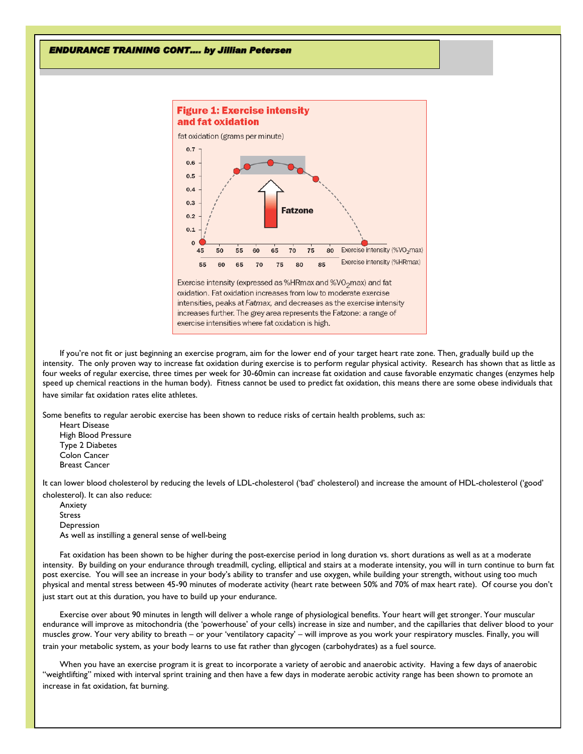#### **ENDURANCE TRAINING CONT.... by Jillian Petersen**



oxidation. Fat oxidation increases from low to moderate exercise intensities, peaks at Fatmax, and decreases as the exercise intensity increases further. The grey area represents the Fatzone: a range of exercise intensities where fat oxidation is high.

If you're not fit or just beginning an exercise program, aim for the lower end of your target heart rate zone. Then, gradually build up the intensity. The only proven way to increase fat oxidation during exercise is to perform regular physical activity. Research has shown that as little as four weeks of regular exercise, three times per week for 30-60min can increase fat oxidation and cause favorable enzymatic changes (enzymes help speed up chemical reactions in the human body). Fitness cannot be used to predict fat oxidation, this means there are some obese individuals that have similar fat oxidation rates elite athletes.

Some benefits to regular aerobic exercise has been shown to reduce risks of certain health problems, such as:

Heart Disease High Blood Pressure Type 2 Diabetes Colon Cancer Breast Cancer

It can lower blood cholesterol by reducing the levels of LDL-cholesterol ('bad' cholesterol) and increase the amount of HDL-cholesterol ('good' cholesterol). It can also reduce:

Anxiety Stress Depression As well as instilling a general sense of well-being

Fat oxidation has been shown to be higher during the post-exercise period in long duration vs. short durations as well as at a moderate intensity. By building on your endurance through treadmill, cycling, elliptical and stairs at a moderate intensity, you will in turn continue to burn fat post exercise. You will see an increase in your body's ability to transfer and use oxygen, while building your strength, without using too much physical and mental stress between 45-90 minutes of moderate activity (heart rate between 50% and 70% of max heart rate). Of course you don't just start out at this duration, you have to build up your endurance.

Exercise over about 90 minutes in length will deliver a whole range of physiological benefits. Your heart will get stronger. Your muscular endurance will improve as mitochondria (the 'powerhouse' of your cells) increase in size and number, and the capillaries that deliver blood to your muscles grow. Your very ability to breath – or your 'ventilatory capacity' – will improve as you work your respiratory muscles. Finally, you will train your metabolic system, as your body learns to use fat rather than glycogen (carbohydrates) as a fuel source.

When you have an exercise program it is great to incorporate a variety of aerobic and anaerobic activity. Having a few days of anaerobic "weightlifting" mixed with interval sprint training and then have a few days in moderate aerobic activity range has been shown to promote an increase in fat oxidation, fat burning.